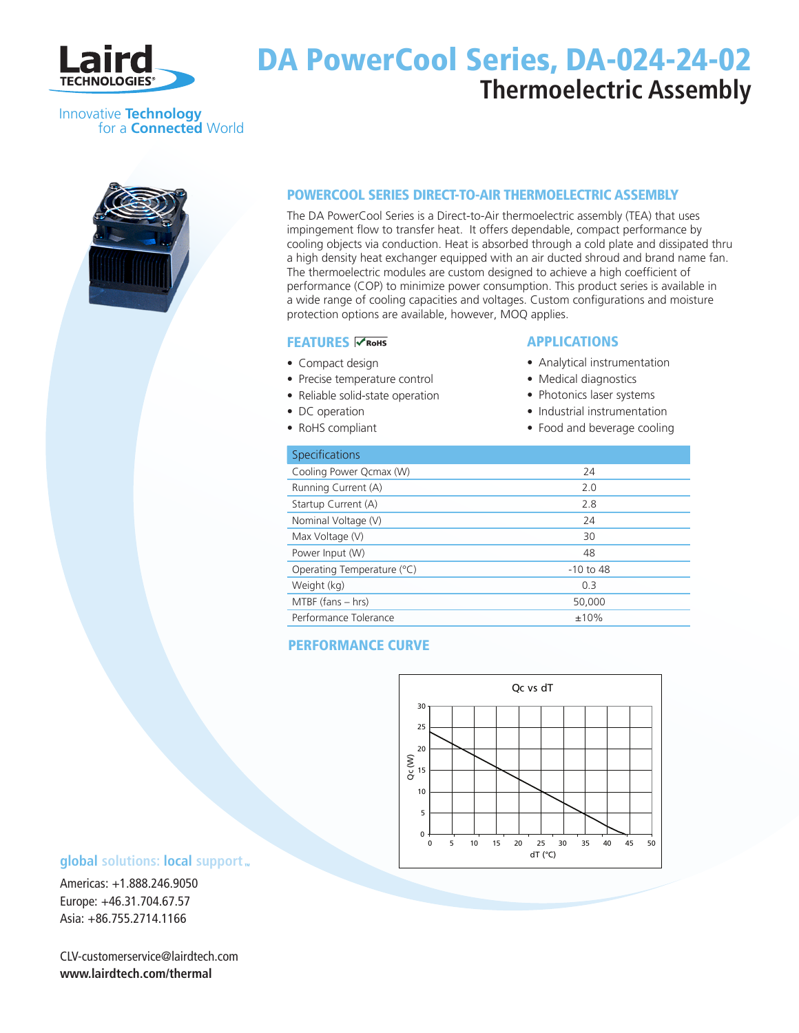

## DA PowerCool Series, DA-024-24-02 **Thermoelectric Assembly**

## Innovative **Technology** for a **Connected** World



## POWERCOOL SERIES DIRECT-TO-AIR THERMOELECTRIC ASSEMBLY

The DA PowerCool Series is a Direct-to-Air thermoelectric assembly (TEA) that uses impingement flow to transfer heat. It offers dependable, compact performance by cooling objects via conduction. Heat is absorbed through a cold plate and dissipated thru a high density heat exchanger equipped with an air ducted shroud and brand name fan. The thermoelectric modules are custom designed to achieve a high coefficient of performance (COP) to minimize power consumption. This product series is available in a wide range of cooling capacities and voltages. Custom configurations and moisture protection options are available, however, MOQ applies.

### **FEATURES <del>∨ RoHS</del>**

- Compact design
- Precise temperature control
- Reliable solid-state operation
- DC operation
- RoHS compliant

## **APPLICATIONS**

- Analytical instrumentation
- Medical diagnostics
- Photonics laser systems
- Industrial instrumentation
- Food and beverage cooling

| Specifications             |             |
|----------------------------|-------------|
| Cooling Power Qcmax (W)    | 24          |
| Running Current (A)        | 2.0         |
| Startup Current (A)        | 2.8         |
| Nominal Voltage (V)        | 24          |
| Max Voltage (V)            | 30          |
| Power Input (W)            | 48          |
| Operating Temperature (°C) | $-10$ to 48 |
| Weight (kg)                | 0.3         |
| $MTBF$ (fans $- hrs$ )     | 50,000      |
| Performance Tolerance      | ±10%        |

## Performance Curve



## **global** solutions: local support  $\mathbf{r}$

Americas: +1.888.246.9050 Europe: +46.31.704.67.57 Asia: +86.755.2714.1166

CLV-customerservice@lairdtech.com **www.lairdtech.com/thermal**